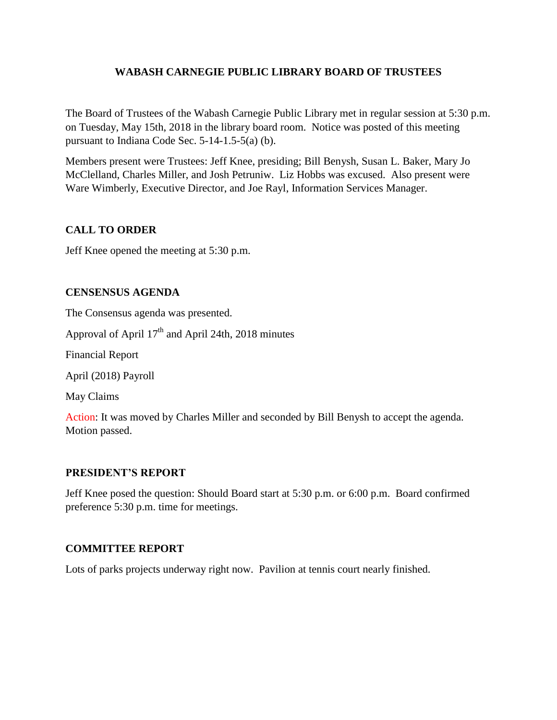# **WABASH CARNEGIE PUBLIC LIBRARY BOARD OF TRUSTEES**

The Board of Trustees of the Wabash Carnegie Public Library met in regular session at 5:30 p.m. on Tuesday, May 15th, 2018 in the library board room. Notice was posted of this meeting pursuant to Indiana Code Sec. 5-14-1.5-5(a) (b).

Members present were Trustees: Jeff Knee, presiding; Bill Benysh, Susan L. Baker, Mary Jo McClelland, Charles Miller, and Josh Petruniw. Liz Hobbs was excused. Also present were Ware Wimberly, Executive Director, and Joe Rayl, Information Services Manager.

# **CALL TO ORDER**

Jeff Knee opened the meeting at 5:30 p.m.

#### **CENSENSUS AGENDA**

The Consensus agenda was presented.

Approval of April  $17<sup>th</sup>$  and April 24th, 2018 minutes

Financial Report

April (2018) Payroll

May Claims

Action: It was moved by Charles Miller and seconded by Bill Benysh to accept the agenda. Motion passed.

# **PRESIDENT'S REPORT**

Jeff Knee posed the question: Should Board start at 5:30 p.m. or 6:00 p.m. Board confirmed preference 5:30 p.m. time for meetings.

# **COMMITTEE REPORT**

Lots of parks projects underway right now. Pavilion at tennis court nearly finished.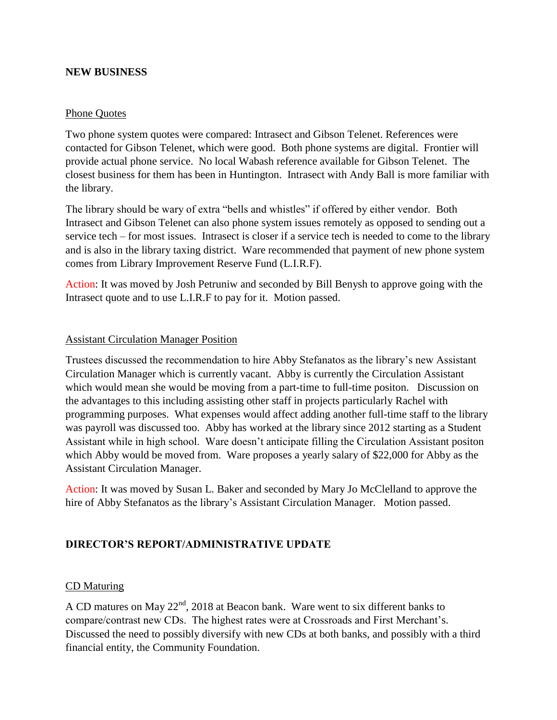#### **NEW BUSINESS**

#### Phone Quotes

Two phone system quotes were compared: Intrasect and Gibson Telenet. References were contacted for Gibson Telenet, which were good. Both phone systems are digital. Frontier will provide actual phone service. No local Wabash reference available for Gibson Telenet. The closest business for them has been in Huntington. Intrasect with Andy Ball is more familiar with the library.

The library should be wary of extra "bells and whistles" if offered by either vendor. Both Intrasect and Gibson Telenet can also phone system issues remotely as opposed to sending out a service tech – for most issues. Intrasect is closer if a service tech is needed to come to the library and is also in the library taxing district. Ware recommended that payment of new phone system comes from Library Improvement Reserve Fund (L.I.R.F).

Action: It was moved by Josh Petruniw and seconded by Bill Benysh to approve going with the Intrasect quote and to use L.I.R.F to pay for it. Motion passed.

#### Assistant Circulation Manager Position

Trustees discussed the recommendation to hire Abby Stefanatos as the library's new Assistant Circulation Manager which is currently vacant. Abby is currently the Circulation Assistant which would mean she would be moving from a part-time to full-time positon. Discussion on the advantages to this including assisting other staff in projects particularly Rachel with programming purposes. What expenses would affect adding another full-time staff to the library was payroll was discussed too. Abby has worked at the library since 2012 starting as a Student Assistant while in high school. Ware doesn't anticipate filling the Circulation Assistant positon which Abby would be moved from. Ware proposes a yearly salary of \$22,000 for Abby as the Assistant Circulation Manager.

Action: It was moved by Susan L. Baker and seconded by Mary Jo McClelland to approve the hire of Abby Stefanatos as the library's Assistant Circulation Manager. Motion passed.

#### **DIRECTOR'S REPORT/ADMINISTRATIVE UPDATE**

#### CD Maturing

A CD matures on May  $22<sup>nd</sup>$ , 2018 at Beacon bank. Ware went to six different banks to compare/contrast new CDs. The highest rates were at Crossroads and First Merchant's. Discussed the need to possibly diversify with new CDs at both banks, and possibly with a third financial entity, the Community Foundation.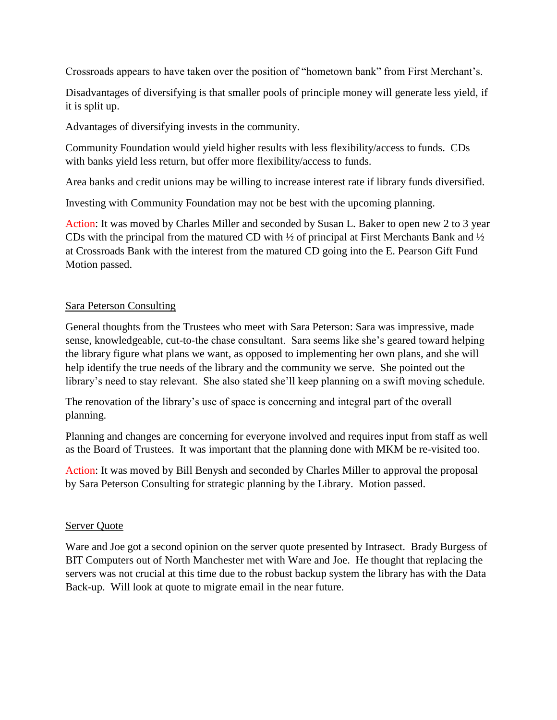Crossroads appears to have taken over the position of "hometown bank" from First Merchant's.

Disadvantages of diversifying is that smaller pools of principle money will generate less yield, if it is split up.

Advantages of diversifying invests in the community.

Community Foundation would yield higher results with less flexibility/access to funds. CDs with banks yield less return, but offer more flexibility/access to funds.

Area banks and credit unions may be willing to increase interest rate if library funds diversified.

Investing with Community Foundation may not be best with the upcoming planning.

Action: It was moved by Charles Miller and seconded by Susan L. Baker to open new 2 to 3 year CDs with the principal from the matured CD with ½ of principal at First Merchants Bank and ½ at Crossroads Bank with the interest from the matured CD going into the E. Pearson Gift Fund Motion passed.

#### Sara Peterson Consulting

General thoughts from the Trustees who meet with Sara Peterson: Sara was impressive, made sense, knowledgeable, cut-to-the chase consultant. Sara seems like she's geared toward helping the library figure what plans we want, as opposed to implementing her own plans, and she will help identify the true needs of the library and the community we serve. She pointed out the library's need to stay relevant. She also stated she'll keep planning on a swift moving schedule.

The renovation of the library's use of space is concerning and integral part of the overall planning.

Planning and changes are concerning for everyone involved and requires input from staff as well as the Board of Trustees. It was important that the planning done with MKM be re-visited too.

Action: It was moved by Bill Benysh and seconded by Charles Miller to approval the proposal by Sara Peterson Consulting for strategic planning by the Library. Motion passed.

#### Server Quote

Ware and Joe got a second opinion on the server quote presented by Intrasect. Brady Burgess of BIT Computers out of North Manchester met with Ware and Joe. He thought that replacing the servers was not crucial at this time due to the robust backup system the library has with the Data Back-up. Will look at quote to migrate email in the near future.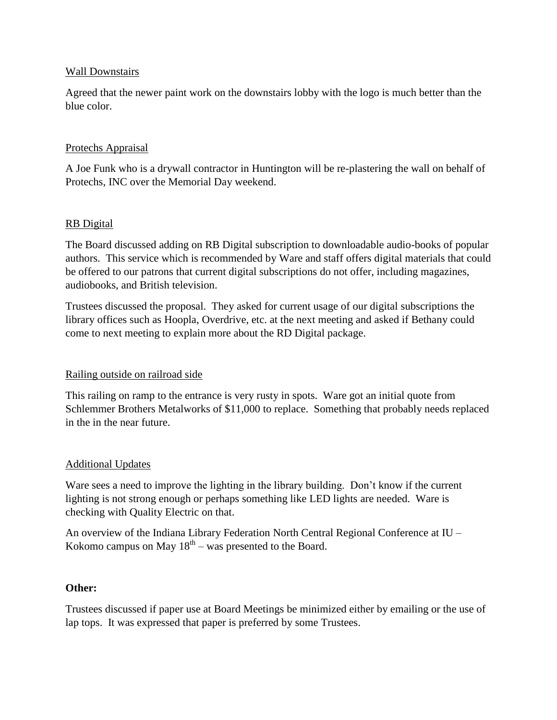#### Wall Downstairs

Agreed that the newer paint work on the downstairs lobby with the logo is much better than the blue color.

### Protechs Appraisal

A Joe Funk who is a drywall contractor in Huntington will be re-plastering the wall on behalf of Protechs, INC over the Memorial Day weekend.

#### RB Digital

The Board discussed adding on RB Digital subscription to downloadable audio-books of popular authors. This service which is recommended by Ware and staff offers digital materials that could be offered to our patrons that current digital subscriptions do not offer, including magazines, audiobooks, and British television.

Trustees discussed the proposal. They asked for current usage of our digital subscriptions the library offices such as Hoopla, Overdrive, etc. at the next meeting and asked if Bethany could come to next meeting to explain more about the RD Digital package.

# Railing outside on railroad side

This railing on ramp to the entrance is very rusty in spots. Ware got an initial quote from Schlemmer Brothers Metalworks of \$11,000 to replace. Something that probably needs replaced in the in the near future.

# Additional Updates

Ware sees a need to improve the lighting in the library building. Don't know if the current lighting is not strong enough or perhaps something like LED lights are needed. Ware is checking with Quality Electric on that.

An overview of the Indiana Library Federation North Central Regional Conference at IU – Kokomo campus on May  $18<sup>th</sup>$  – was presented to the Board.

#### **Other:**

Trustees discussed if paper use at Board Meetings be minimized either by emailing or the use of lap tops. It was expressed that paper is preferred by some Trustees.